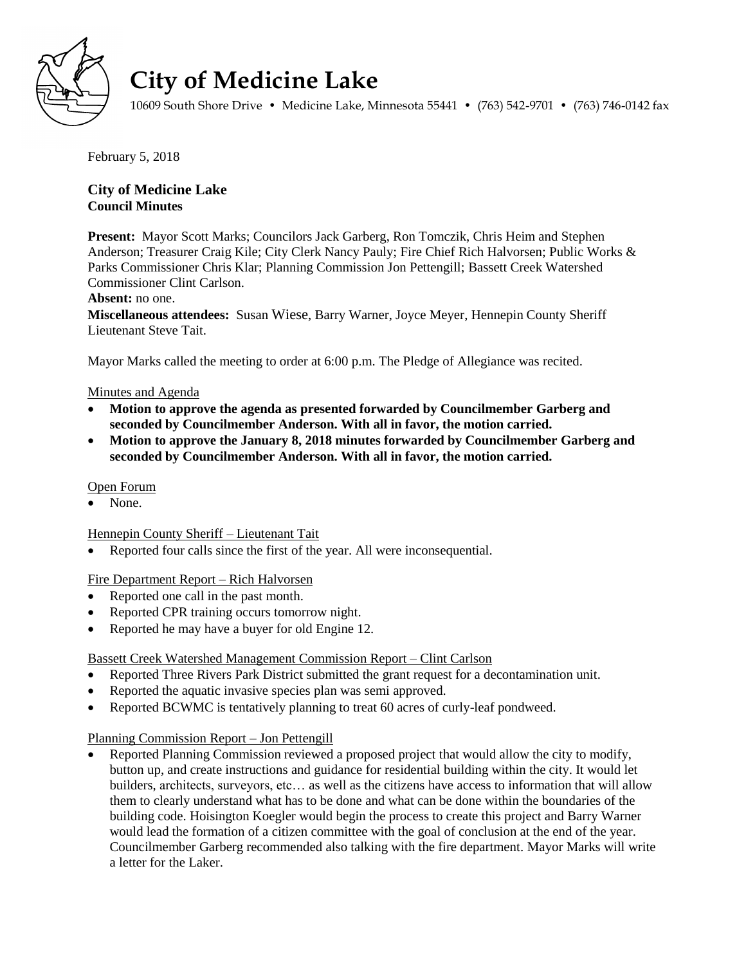

# **City of Medicine Lake**

10609 South Shore Drive • Medicine Lake, Minnesota 55441 • (763) 542-9701 • (763) 746-0142 fax

February 5, 2018

## **City of Medicine Lake Council Minutes**

**Present:** Mayor Scott Marks; Councilors Jack Garberg, Ron Tomczik, Chris Heim and Stephen Anderson; Treasurer Craig Kile; City Clerk Nancy Pauly; Fire Chief Rich Halvorsen; Public Works & Parks Commissioner Chris Klar; Planning Commission Jon Pettengill; Bassett Creek Watershed Commissioner Clint Carlson.

## **Absent:** no one.

**Miscellaneous attendees:** Susan Wiese, Barry Warner, Joyce Meyer, Hennepin County Sheriff Lieutenant Steve Tait.

Mayor Marks called the meeting to order at 6:00 p.m. The Pledge of Allegiance was recited.

## Minutes and Agenda

- **Motion to approve the agenda as presented forwarded by Councilmember Garberg and seconded by Councilmember Anderson. With all in favor, the motion carried.**
- **Motion to approve the January 8, 2018 minutes forwarded by Councilmember Garberg and seconded by Councilmember Anderson. With all in favor, the motion carried.**

## Open Forum

None.

## Hennepin County Sheriff – Lieutenant Tait

Reported four calls since the first of the year. All were inconsequential.

## Fire Department Report – Rich Halvorsen

- Reported one call in the past month.
- Reported CPR training occurs tomorrow night.
- Reported he may have a buyer for old Engine 12.

## Bassett Creek Watershed Management Commission Report – Clint Carlson

- Reported Three Rivers Park District submitted the grant request for a decontamination unit.
- Reported the aquatic invasive species plan was semi approved.
- Reported BCWMC is tentatively planning to treat 60 acres of curly-leaf pondweed.

## Planning Commission Report – Jon Pettengill

 Reported Planning Commission reviewed a proposed project that would allow the city to modify, button up, and create instructions and guidance for residential building within the city. It would let builders, architects, surveyors, etc… as well as the citizens have access to information that will allow them to clearly understand what has to be done and what can be done within the boundaries of the building code. Hoisington Koegler would begin the process to create this project and Barry Warner would lead the formation of a citizen committee with the goal of conclusion at the end of the year. Councilmember Garberg recommended also talking with the fire department. Mayor Marks will write a letter for the Laker.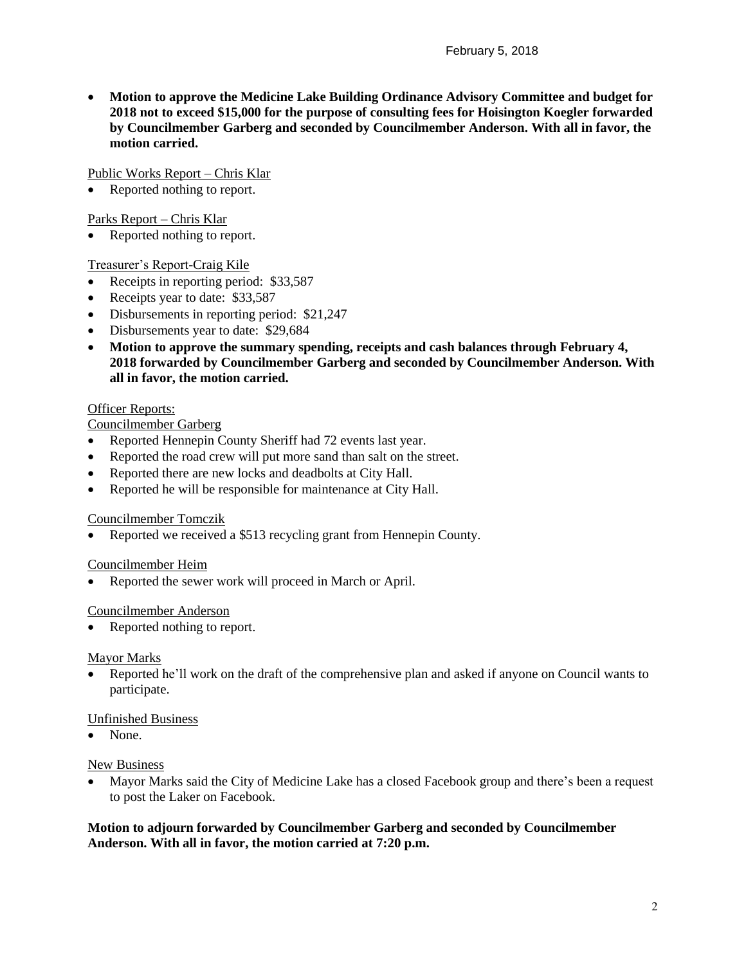**Motion to approve the Medicine Lake Building Ordinance Advisory Committee and budget for 2018 not to exceed \$15,000 for the purpose of consulting fees for Hoisington Koegler forwarded by Councilmember Garberg and seconded by Councilmember Anderson. With all in favor, the motion carried.**

Public Works Report – Chris Klar

Reported nothing to report.

Parks Report – Chris Klar

Reported nothing to report.

Treasurer's Report-Craig Kile

- Receipts in reporting period: \$33,587
- Receipts year to date: \$33,587
- Disbursements in reporting period: \$21,247
- Disbursements year to date: \$29,684
- **Motion to approve the summary spending, receipts and cash balances through February 4, 2018 forwarded by Councilmember Garberg and seconded by Councilmember Anderson. With all in favor, the motion carried.**

## **Officer Reports:**

Councilmember Garberg

- Reported Hennepin County Sheriff had 72 events last year.
- Reported the road crew will put more sand than salt on the street.
- Reported there are new locks and deadbolts at City Hall.
- Reported he will be responsible for maintenance at City Hall.

## Councilmember Tomczik

Reported we received a \$513 recycling grant from Hennepin County.

## Councilmember Heim

Reported the sewer work will proceed in March or April.

## Councilmember Anderson

Reported nothing to report.

## Mayor Marks

 Reported he'll work on the draft of the comprehensive plan and asked if anyone on Council wants to participate.

## Unfinished Business

• None

## New Business

 Mayor Marks said the City of Medicine Lake has a closed Facebook group and there's been a request to post the Laker on Facebook.

## **Motion to adjourn forwarded by Councilmember Garberg and seconded by Councilmember Anderson. With all in favor, the motion carried at 7:20 p.m.**